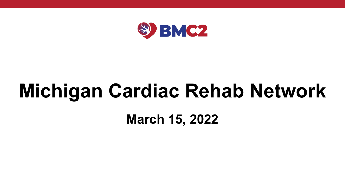

## **Michigan Cardiac Rehab Network**

## **March 15, 2022**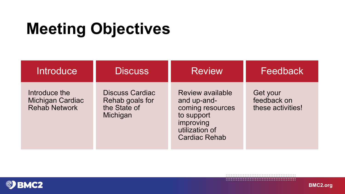## **Meeting Objectives**

| <b>Introduce</b>                                                 | <b>Discuss</b>                                                        | <b>Review</b>                                                                                                                   | Feedback                                     |
|------------------------------------------------------------------|-----------------------------------------------------------------------|---------------------------------------------------------------------------------------------------------------------------------|----------------------------------------------|
| Introduce the<br><b>Michigan Cardiac</b><br><b>Rehab Network</b> | <b>Discuss Cardiac</b><br>Rehab goals for<br>the State of<br>Michigan | <b>Review available</b><br>and up-and-<br>coming resources<br>to support<br>improving<br>utilization of<br><b>Cardiac Rehab</b> | Get your<br>feedback on<br>these activities! |

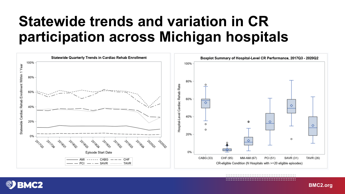## Statewide trends and variation in CR participation across Michigan hospitals



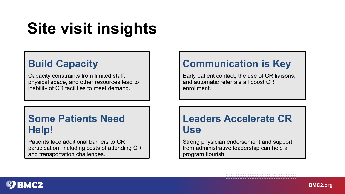## **Site visit insights**

## **Build Capacity**

Capacity constraints from limited staff, physical space, and other resources lead to inability of CR facilities to meet demand.

### **Communication is Key**

Early patient contact, the use of CR liaisons, and automatic referrals all boost CR enrollment.

### **Some Patients Need Help!**

Patients face additional barriers to CR participation, including costs of attending CR and transportation challenges.

### **Leaders Accelerate CR Use**

Strong physician endorsement and support from administrative leadership can help a program flourish.

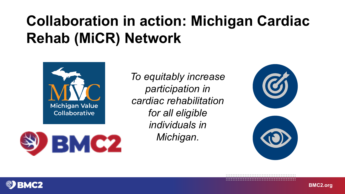### **COLLABORATION: MICHIGAN CARDIAC REPORT CARDIAC REPORT CARDIAC REPORT CARDIAC REPORT CARDIAC REPORT CARDIAC REPORT CARDIAC RE Collaboration in action: Michigan Cardiac Rehab (MiCR) Network**



**BMC2** 

*Torrabilitation*<br>*Incine inclusi participation in cardiac for all eligible rehabilitation for all eligible individuals in individuals in Michigan. Michigan.To equitably increase participation in cardiac rehabilitation* 



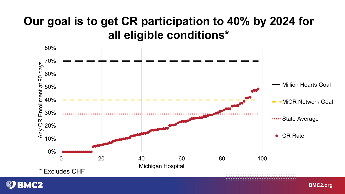## **Our goal is to get CR participation to 40% by 2024 for all eligible conditions\***



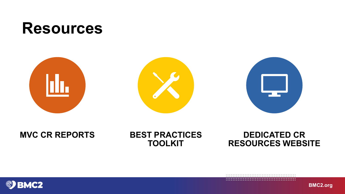



### **MVC CR REPORTS BEST PRACTICES**

## **TOOLKIT**

### **DEDICATED CR RESOURCES WEBSITE**

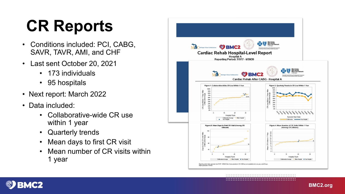## **CR Reports**

- Conditions included: PCI, CABG, SAVR, TAVR, AMI, and CHF
- Last sent October 20, 2021
	- 173 individuals
	- 95 hospitals
- Next report: March 2022
- 
- Data included: Collaborative-wide CR use within 1 year
	-
	- Quarterly trends Mean days to first CR visit Mean number of CR visits within
	- 1 year



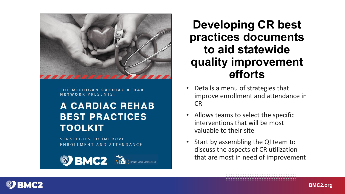

THE MICHIGAN CARDIAC REHAB **NETWORK PRESENTS:** 

### **A CARDIAC REHAB BEST PRACTICES TOOLKIT**

**STRATEGIES TO IMPROVE** ENROLLMENT AND ATTENDANCE

S<sup>S</sup> BMC2 MCC

**Developing CR best practices documents to aid statewide quality improvement efforts**

- Details a menu of strategies that improve enrollment and attendance in CR
- Allows teams to select the specific interventions that will be most valuable to their site
- Start by assembling the QI team to discuss the aspects of CR utilization that are most in need of improvement

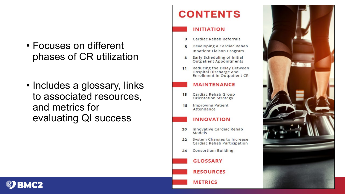- Focuses on different phases of CR utilization
- Includes a glossary, links to associated resources, and metrics for evaluating QI success

### **CONTENTS**

#### **INITIATION**

- Cardiac Rehab Referrals з
- Developing a Cardiac Rehab **Inpatient Liaison Program**
- Early Scheduling of Initial 8 **Outpatient Appointments**
- Reducing the Delay Between  $11$ Hospital Discharge and Enrollment in Outpatient CR

#### **MAINTENANCE**

- Cardiac Rehab Group  $13$ **Orientation Strategy**
- **Improving Patient** 18 Attendance

#### **INNOVATION**

- 20 Innovative Cardiac Rehab Models
- System Changes to Increase  $22$ Cardiac Rehab Participation
- **Consortium Building** 24

**GLOSSARY** 

**RESOURCES** 

**METRICS** 



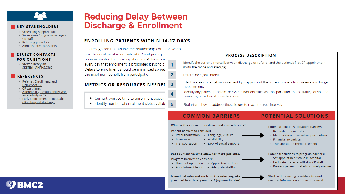

#### **KEY STAKEHOLDERS**

- Scheduling support staff
- · Supervisors/program managers
- $\bullet$  CR staff
- Referring providers
- Administrative assistants

#### **DIRECT CONTACTS FOR QUESTIONS**

• Steven Keteyian SKETEYI1@HFHS.ORG

#### **REFERENCES**

- Referral, Enrollment, and Delivery of CR
- CR wait times
- Affordability, accountability, and accessibility in CR
- · Early appointment to outpatient CR at hospital discharge

### **Reducing Delay Between Discharge & Enrollment**

#### **ENROLLING PATIENTS WITHIN 14-17 DAYS**

It is recognized that an inverse relationship exists between time to enrollment in outpatient CR and participa been estimated that participation in CR decrease every day that enrollment is prolonged beyond di  $\mathbf{1}$ Delays to enrollment should be minimized so pat the maximum benefit from participation.  $\overline{2}$ 

#### **METRICS OR RESOURCES NEEDED**

- Current average time to enrollment appoin
- . Identify number of enrollment slots availab

#### **PROCESS DESCRIPTION**

Identify the current interval between discharge or referral and the patient's first CR appointment (both the range and average).

Determine a goal interval.

Identify areas to target improvement by mapping out the current process from referral/discharge to appointment.

Identify any patient, program, or system barriers, such as transportation issues, staffing or volume concerns, or technical considerations.

Brainstorm how to address those issues to reach the goal interval.

#### **COMMON BARRIERS**

What is the cause of no-shows and cancellations?

Patient barriers to consider:

3

4

 $5\phantom{1}$ 

- Preauthorization • Language, culture
- Availability • Insurance
- Lack of social support • Transportation

#### Does current volume allow for more patients?

Program barriers to consider:

- Hours of operation Appointment times
- Appointment length Adequate staffing

Is medical information from the referring site provided in a timely manner? (system barrier)

#### **POTENTIAL SOLUTIONS**

Potential solutions to patient barriers:

- Reminder phone calls
- Identification of social support network
- Financial incentives
- Transportation reimbursement

Potential solutions to program barriers:

- Set appointment while in hospital
- Facilitated referral utilizing CR staff
- Process patient intake in a timely manner

**BMC2.org**

Work with referring providers to send medical information at time of referral

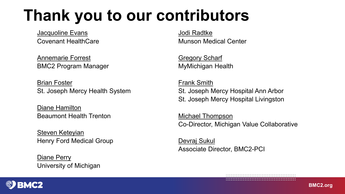## **Thank you to our contributors**

[Jacquoline](mailto:Jacquoline.Evans@chs-mi.com) Evans Covenant HealthCare

[Annemarie Forrest](mailto:avassalo@umich.edu) BMC2 Program Manager

[Brian Foster](mailto:bfoster@michiganheart.com) St. Joseph Mercy Health System

[Diane Hamilton](mailto:Diane.Hamilton@beaumont.org) Beaumont Health Trenton

[Steven Keteyian](mailto:SKETEYI1@HFHS.ORG) Henry Ford Medical Group

[Diane Perry](mailto:diaperry@med.umich.edu) University of Michigan [Jodi Radtke](mailto:Jradtke@mhc.net) Munson Medical Center

[Gregory Scharf](mailto:gregory.scharf@midmichigan.org) MyMichigan Health

[Frank Smith](mailto:fsmith@michiganheart.com) St. Joseph Mercy Hospital Ann Arbor St. Joseph Mercy Hospital Livingston

[Michael Thompson](mailto:mthomps@med.umich.edu) Co-Director, Michigan Value Collaborative

[Devraj Sukul](mailto:dsukul@med.umich.edu) Associate Director, BMC2-PCI

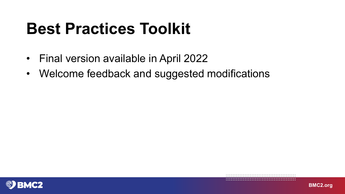## **Best Practices Toolkit**

- Final version available in April 2022
- Welcome feedback and suggested modifications



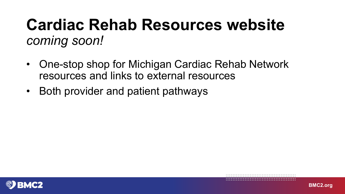## **Cardiac Rehab Resources website** *coming soon!*

- One-stop shop for Michigan Cardiac Rehab Network resources and links to external resources
- Both provider and patient pathways